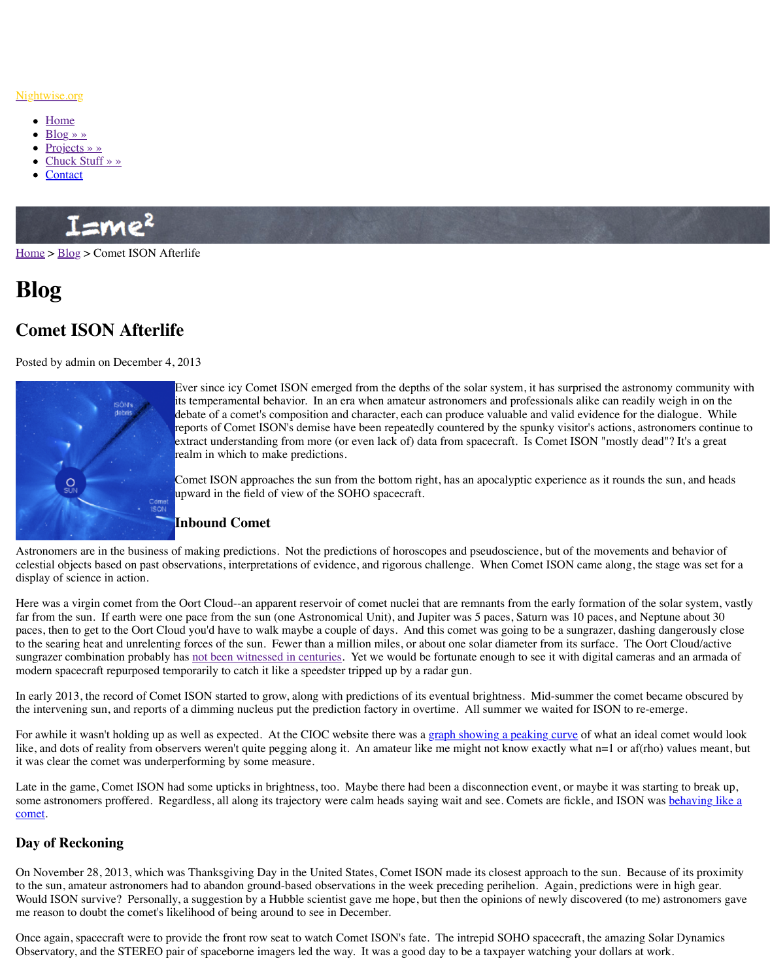

Ever since icy Comet ISON emerged from the depths of the solar system, it has surprised the astronomy community with its temperamental behavior. In an era when amateur astron debate of a comet's composition and character, each can produce  $\alpha$ reports of Comet ISON's demise have been repeatedly countered by continue to spunky visitors, and  $\alpha$ extract understanding from more (or even lack of) data from realm in which to make predictions.

Comet ISON approaches the sun from the bottom right, has upward in the field of view of the SOHO spacecraft.

# **Inbound Comet**

Astro[nomers are in the](http://www.nightwise.org/chuck-stuff/) business of making predictions. Not the predictions of horoscopes and pseudoscience, but of the movements and behavior of the movements and behavior of the movements and behavior of the movements and celest[ial objec](http://www.nightwise.org/contact/)ts based on past observations, interpretations of evidence, and rigorous challer display of science in action.

Here was a virgin comet from the Oort Cloud--an apparent reservoir of comet nuclei that are far from the sun. If earth were one pace from the sun (one Astronomical Unit), and Jupiter v paces, then to get to the Oort Cloud you'd have to walk maybe a couple of days. And this comet was going to be a sungraph of days. [to the](http://www.nightwise.org/) se[aring](http://www.nightwise.org/blog/) heat and unrelenting forces of the sun. Fewer than a million miles, or about on sungrazer combination probably has not been witnessed in centuries. Yet we would be fortu modern spacecraft repurposed temporarily to catch it like a speedster tripped up by a radar g

In early 2013, the record of Comet ISON started to grow, along with predictions of its eventual brightness. Midthe intervening sun, and reports of a dimming nucleus put the prediction factory in overtime.

For awhile it wasn't holding up as well as expected. At the CIOC website there was a graph like, and dots of reality from observers weren't quite pegging along it. An amateur like me r it was clear the comet was underperforming by some measure.

Late in the game, Comet ISON had some upticks in brightness, too. Maybe there had been a some astronomers proffered. Regardless, all along its trajectory were calm heads saying wait comet.

## **Day of Reckoning**

On November 28, 2013, which was Thanksgiving Day in the United States, Comet ISON ma to the sun, amateur astronomers had to abandon ground-based observations in the week preceding periodistion. Again, periodisc periodisc periodisc were in the week predictions were in the week predictions were in the week p Would ISON survive? Personally, a suggestion by a Hubble scientist gave me hope, but then me reason to doubt the comet's likelihood of being around to see in December.

Once again, spacecraft were to provide the front row seat to watch Comet ISON's fate. The Observatory, and the STEREO pair of spaceborne imagers led the way. It was a good day to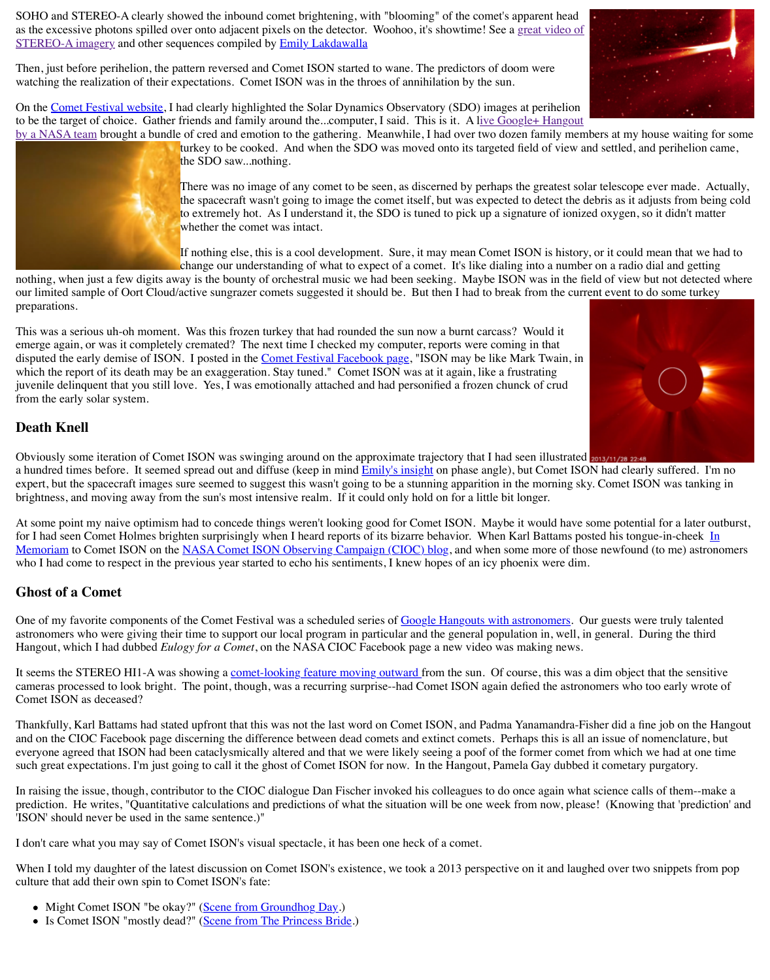juvenile delinquent that you still love. Yes, I was emotionally attached and had personified a frozen chunck of crud from the early solar system.

### **[Death Knell](https://planetary.s3.amazonaws.com/assets/images/9-small-bodies/2013/ison_aligned-on-comet_20131128_012901_tbh1A.gif)**

Obviously some iteration of Comet ISON was swinging around on the approximate trajector a hundred times before. It seemed spread out and diffuse (keep in mind Emily's insight on p expert, but the spacecraft images sure seemed to suggest this wasn't going to be a stunning a bright[ness, and moving away fr](http://cometfestival.com/)om the sun's most intensive realm. If it could only hold on for

At some point my naive optimism had to concede things weren't looking good for Comet IS for I had seen Comet Holmes brighten surprisingly when I heard reports of its bizarre behavior. Memoriam to Comet ISON on the NASA Comet ISON Observing Campaign (CIOC) blog, and when some more of the MASA Comet ISON Observing Campaign (CIOC) blog, and when some method. who I had come to respect in the previous year started to echo his sentiments, I knew hopes of

#### **Ghost of a Comet**

One of my favorite components of the Comet Festival was a scheduled series of Google Hang astronomers who were giving their time to support our local program in particular and the general. Hangout, which I had dubbed *Eulogy for a Comet*, on the NASA CIOC Facebook page a new

It seems the STEREO HI1-A was showing a comet-looking feature moving outward from the sun. cameras processed to look bright. The point, though, was a recurring surprise--had Comet I! Comet ISON as deceased?

Thankfully, Karl Battams had stated upfront that this was not the last word on Comet ISON, and on the CIOC Facebook page discerning the difference between dead comets and extinct everyone agreed that ISON had been cataclysmical[ly altered and that we were like](https://www.facebook.com/pages/2013-Comet-Festival/281597451975282)ly seeing a such great expectations. I'm just going to call it the ghost of Comet ISON for now. In the Ha

In raising the issue, though, contributor to the CIOC dialogue Dan Fischer invoked his colleagues to do once a prediction. He writes, "Quantitative calculations and predictions of what the situation will b 'ISON' should never be used in the same sentence.)"

I don't care what you may say of Comet ISON's visual spectacle, it has been one heck of a comet.

When I told my daughter of the latest discussion on Comet ISON's exist[ence, we took a](http://www.planetary.org/blogs/emily-lakdawalla/2013/12021624-multiple-views-of-comet-ison.html) 2013 culture that add their own spin to Comet ISON's fate:

- Might Comet ISON "be okay?" (Scene from Groundhog Day.)
- [Is Comet ISON "mostly dead?" \(Scene from The Princess Bride.\)](http://www.isoncampaign.org/karl/in-memoriam)